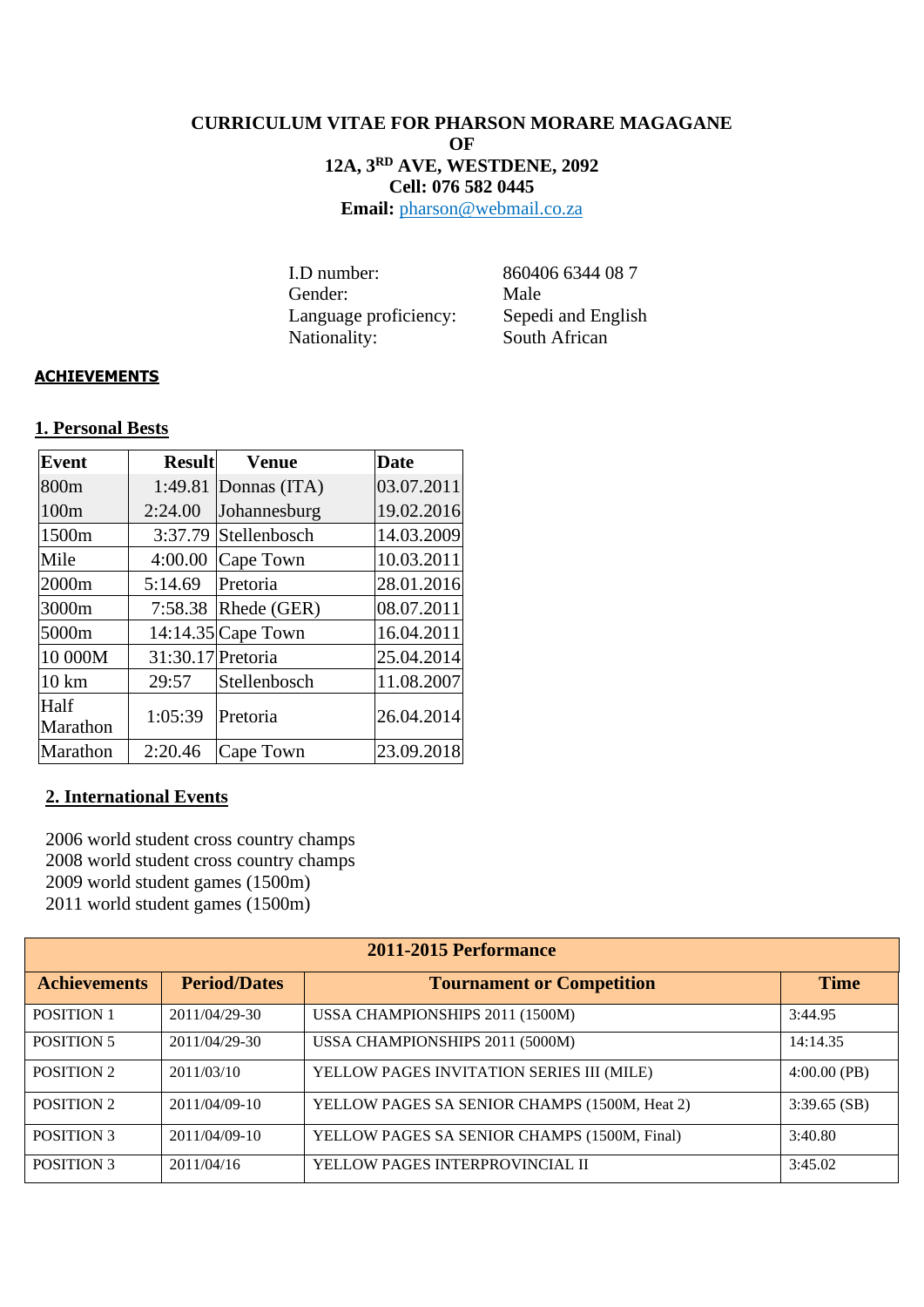## **CURRICULUM VITAE FOR PHARSON MORARE MAGAGANE OF 12A, 3RD AVE, WESTDENE, 2092 Cell: 076 582 0445**

**Email:** pharson@webmail.co.za

 I.D number: 860406 6344 08 7 Gender: Male Language proficiency: Language proficiency: Sepedi and English<br>Nationality: South African

## **ACHIEVEMENTS**

## **1. Personal Bests**

| <b>Event</b>     | <b>Result</b>     | <b>Venue</b>         | <b>Date</b> |
|------------------|-------------------|----------------------|-------------|
| 800m             | 1:49.81           | Donnas (ITA)         | 03.07.2011  |
| 100m             | 2:24.00           | Johannesburg         | 19.02.2016  |
| 1500m            | 3:37.79           | Stellenbosch         | 14.03.2009  |
| Mile             | 4:00.00           | Cape Town            | 10.03.2011  |
| 2000m            | 5:14.69           | Pretoria             | 28.01.2016  |
| 3000m            | 7:58.38           | Rhede (GER)          | 08.07.2011  |
| 5000m            |                   | $14:14.35$ Cape Town | 16.04.2011  |
| 10 000M          | 31:30.17 Pretoria |                      | 25.04.2014  |
| $10 \text{ km}$  | 29:57             | Stellenbosch         | 11.08.2007  |
| Half<br>Marathon | 1:05:39           | Pretoria             | 26.04.2014  |
| Marathon         | 2:20.46           | Cape Town            | 23.09.2018  |

## **2. International Events**

2006 world student cross country champs 2008 world student cross country champs 2009 world student games (1500m) 2011 world student games (1500m)

| 2011-2015 Performance |                     |                                               |                |  |  |  |
|-----------------------|---------------------|-----------------------------------------------|----------------|--|--|--|
| <b>Achievements</b>   | <b>Period/Dates</b> | <b>Tournament or Competition</b>              | <b>Time</b>    |  |  |  |
| <b>POSITION 1</b>     | 2011/04/29-30       | USSA CHAMPIONSHIPS 2011 (1500M)               | 3:44.95        |  |  |  |
| <b>POSITION 5</b>     | 2011/04/29-30       | USSA CHAMPIONSHIPS 2011 (5000M)               | 14:14.35       |  |  |  |
| <b>POSITION 2</b>     | 2011/03/10          | YELLOW PAGES INVITATION SERIES III (MILE)     | $4:00.00$ (PB) |  |  |  |
| <b>POSITION 2</b>     | $2011/04/09-10$     | YELLOW PAGES SA SENIOR CHAMPS (1500M, Heat 2) | $3:39.65$ (SB) |  |  |  |
| <b>POSITION 3</b>     | $2011/04/09-10$     | YELLOW PAGES SA SENIOR CHAMPS (1500M, Final)  | 3:40.80        |  |  |  |
| <b>POSITION 3</b>     | 2011/04/16          | YELLOW PAGES INTERPROVINCIAL II               | 3:45.02        |  |  |  |